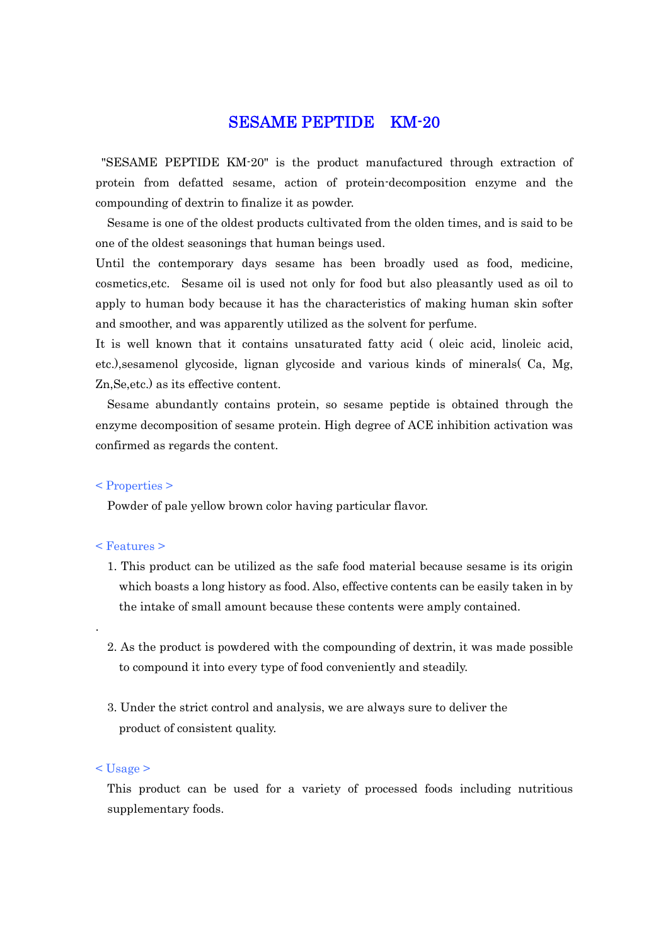## SESAME PEPTIDE KM-20

"SESAME PEPTIDE KM-20" is the product manufactured through extraction of protein from defatted sesame, action of protein-decomposition enzyme and the compounding of dextrin to finalize it as powder.

Sesame is one of the oldest products cultivated from the olden times, and is said to be one of the oldest seasonings that human beings used.

Until the contemporary days sesame has been broadly used as food, medicine, cosmetics,etc. Sesame oil is used not only for food but also pleasantly used as oil to apply to human body because it has the characteristics of making human skin softer and smoother, and was apparently utilized as the solvent for perfume.

It is well known that it contains unsaturated fatty acid ( oleic acid, linoleic acid, etc.),sesamenol glycoside, lignan glycoside and various kinds of minerals( Ca, Mg, Zn,Se,etc.) as its effective content.

Sesame abundantly contains protein, so sesame peptide is obtained through the enzyme decomposition of sesame protein. High degree of ACE inhibition activation was confirmed as regards the content.

#### < Properties >

Powder of pale yellow brown color having particular flavor.

#### < Features >

.

- 1. This product can be utilized as the safe food material because sesame is its origin which boasts a long history as food. Also, effective contents can be easily taken in by the intake of small amount because these contents were amply contained.
- 2. As the product is powdered with the compounding of dextrin, it was made possible to compound it into every type of food conveniently and steadily.
- 3. Under the strict control and analysis, we are always sure to deliver the product of consistent quality.

#### $<$ Usage  $>$

This product can be used for a variety of processed foods including nutritious supplementary foods.